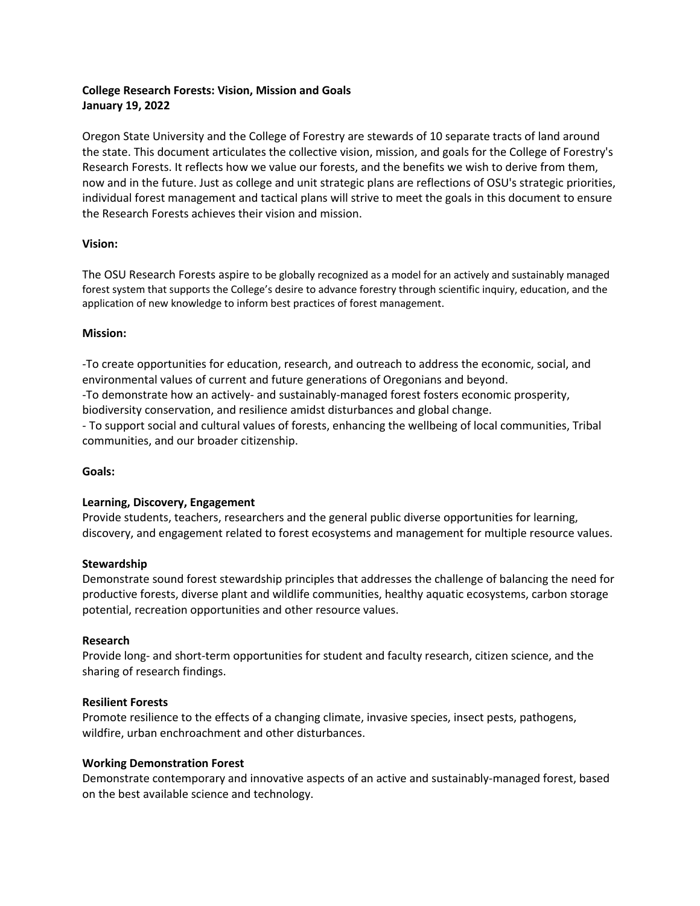# **College Research Forests: Vision, Mission and Goals January 19, 2022**

Oregon State University and the College of Forestry are stewards of 10 separate tracts of land around the state. This document articulates the collective vision, mission, and goals for the College of Forestry's Research Forests. It reflects how we value our forests, and the benefits we wish to derive from them, now and in the future. Just as college and unit strategic plans are reflections of OSU's strategic priorities, individual forest management and tactical plans will strive to meet the goals in this document to ensure the Research Forests achieves their vision and mission.

### **Vision:**

The OSU Research Forests aspire to be globally recognized as a model for an actively and sustainably managed forest system that supports the College's desire to advance forestry through scientific inquiry, education, and the application of new knowledge to inform best practices of forest management.

## **Mission:**

-To create opportunities for education, research, and outreach to address the economic, social, and environmental values of current and future generations of Oregonians and beyond.

-To demonstrate how an actively- and sustainably-managed forest fosters economic prosperity, biodiversity conservation, and resilience amidst disturbances and global change.

- To support social and cultural values of forests, enhancing the wellbeing of local communities, Tribal communities, and our broader citizenship.

### **Goals:**

### **Learning, Discovery, Engagement**

Provide students, teachers, researchers and the general public diverse opportunities for learning, discovery, and engagement related to forest ecosystems and management for multiple resource values.

### **Stewardship**

Demonstrate sound forest stewardship principles that addresses the challenge of balancing the need for productive forests, diverse plant and wildlife communities, healthy aquatic ecosystems, carbon storage potential, recreation opportunities and other resource values.

### **Research**

Provide long- and short-term opportunities for student and faculty research, citizen science, and the sharing of research findings.

### **Resilient Forests**

Promote resilience to the effects of a changing climate, invasive species, insect pests, pathogens, wildfire, urban enchroachment and other disturbances.

### **Working Demonstration Forest**

Demonstrate contemporary and innovative aspects of an active and sustainably-managed forest, based on the best available science and technology.